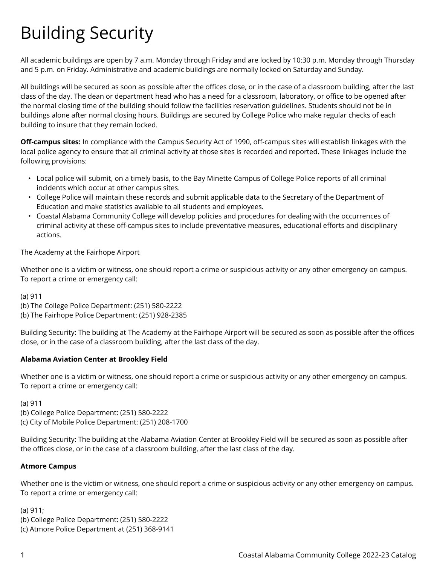# Building Security

All academic buildings are open by 7 a.m. Monday through Friday and are locked by 10:30 p.m. Monday through Thursday and 5 p.m. on Friday. Administrative and academic buildings are normally locked on Saturday and Sunday.

All buildings will be secured as soon as possible after the offices close, or in the case of a classroom building, after the last class of the day. The dean or department head who has a need for a classroom, laboratory, or office to be opened after the normal closing time of the building should follow the facilities reservation guidelines. Students should not be in buildings alone after normal closing hours. Buildings are secured by College Police who make regular checks of each building to insure that they remain locked.

**Off-campus sites:** In compliance with the Campus Security Act of 1990, off-campus sites will establish linkages with the local police agency to ensure that all criminal activity at those sites is recorded and reported. These linkages include the following provisions:

- Local police will submit, on a timely basis, to the Bay Minette Campus of College Police reports of all criminal incidents which occur at other campus sites.
- College Police will maintain these records and submit applicable data to the Secretary of the Department of Education and make statistics available to all students and employees.
- Coastal Alabama Community College will develop policies and procedures for dealing with the occurrences of criminal activity at these off-campus sites to include preventative measures, educational efforts and disciplinary actions.

## The Academy at the Fairhope Airport

Whether one is a victim or witness, one should report a crime or suspicious activity or any other emergency on campus. To report a crime or emergency call:

(a) 911

(b) The College Police Department: (251) 580-2222

(b) The Fairhope Police Department: (251) 928-2385

Building Security: The building at The Academy at the Fairhope Airport will be secured as soon as possible after the offices close, or in the case of a classroom building, after the last class of the day.

## **Alabama Aviation Center at Brookley Field**

Whether one is a victim or witness, one should report a crime or suspicious activity or any other emergency on campus. To report a crime or emergency call:

(a) 911

(b) College Police Department: (251) 580-2222 (c) City of Mobile Police Department: (251) 208-1700

Building Security: The building at the Alabama Aviation Center at Brookley Field will be secured as soon as possible after the offices close, or in the case of a classroom building, after the last class of the day.

#### **Atmore Campus**

Whether one is the victim or witness, one should report a crime or suspicious activity or any other emergency on campus. To report a crime or emergency call:

(a) 911; (b) College Police Department: (251) 580-2222 (c) Atmore Police Department at (251) 368-9141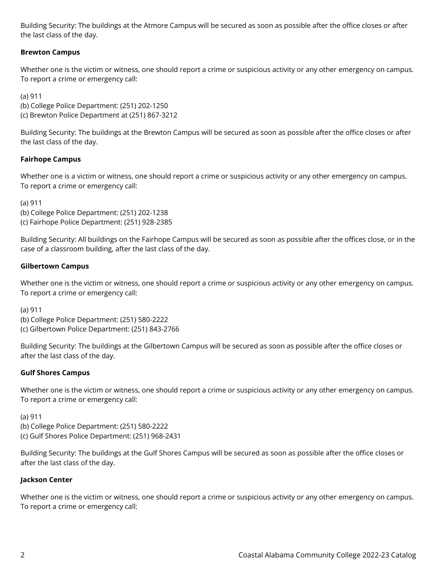Building Security: The buildings at the Atmore Campus will be secured as soon as possible after the office closes or after the last class of the day.

## **Brewton Campus**

Whether one is the victim or witness, one should report a crime or suspicious activity or any other emergency on campus. To report a crime or emergency call:

(a) 911

(b) College Police Department: (251) 202-1250 (c) Brewton Police Department at (251) 867-3212

Building Security: The buildings at the Brewton Campus will be secured as soon as possible after the office closes or after the last class of the day.

## **Fairhope Campus**

Whether one is a victim or witness, one should report a crime or suspicious activity or any other emergency on campus. To report a crime or emergency call:

(a) 911

(b) College Police Department: (251) 202-1238 (c) Fairhope Police Department: (251) 928-2385

Building Security: All buildings on the Fairhope Campus will be secured as soon as possible after the offices close, or in the case of a classroom building, after the last class of the day.

### **Gilbertown Campus**

Whether one is the victim or witness, one should report a crime or suspicious activity or any other emergency on campus. To report a crime or emergency call:

(a) 911

(b) College Police Department: (251) 580-2222 (c) Gilbertown Police Department: (251) 843-2766

Building Security: The buildings at the Gilbertown Campus will be secured as soon as possible after the office closes or after the last class of the day.

## **Gulf Shores Campus**

Whether one is the victim or witness, one should report a crime or suspicious activity or any other emergency on campus. To report a crime or emergency call:

(a) 911

(b) College Police Department: (251) 580-2222

(c) Gulf Shores Police Department: (251) 968-2431

Building Security: The buildings at the Gulf Shores Campus will be secured as soon as possible after the office closes or after the last class of the day.

## **Jackson Center**

Whether one is the victim or witness, one should report a crime or suspicious activity or any other emergency on campus. To report a crime or emergency call: